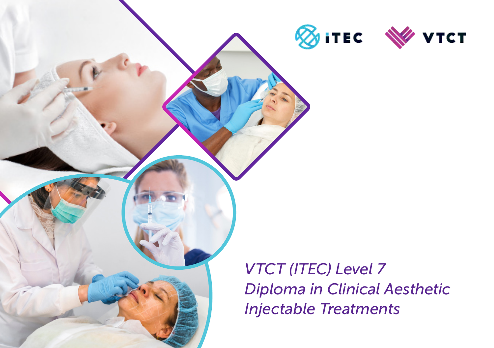

*VTCT (ITEC) Level 7 Diploma in Clinical Aesthetic Injectable Treatments*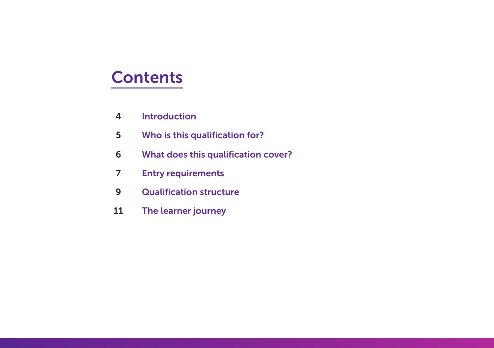### **Contents**

- Introduction
- Who is this qualification for?
- What does this qualification cover?
- Entry requirements
- Qualification structure
- The learner journey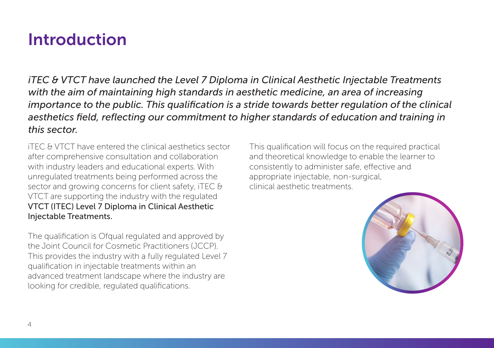### Introduction

*iTEC & VTCT have launched the Level 7 Diploma in Clinical Aesthetic Injectable Treatments with the aim of maintaining high standards in aesthetic medicine, an area of increasing importance to the public. This qualification is a stride towards better regulation of the clinical aesthetics field, reflecting our commitment to higher standards of education and training in this sector.*

iTEC & VTCT have entered the clinical aesthetics sector after comprehensive consultation and collaboration with industry leaders and educational experts. With unregulated treatments being performed across the sector and growing concerns for client safety, iTEC & VTCT are supporting the industry with the regulated VTCT (ITEC) Level 7 Diploma in Clinical Aesthetic Injectable Treatments.

The qualification is Ofqual regulated and approved by the Joint Council for Cosmetic Practitioners (JCCP). This provides the industry with a fully regulated Level 7 qualification in injectable treatments within an advanced treatment landscape where the industry are looking for credible, regulated qualifications.

This qualification will focus on the required practical and theoretical knowledge to enable the learner to consistently to administer safe, effective and appropriate injectable, non-surgical, clinical aesthetic treatments.

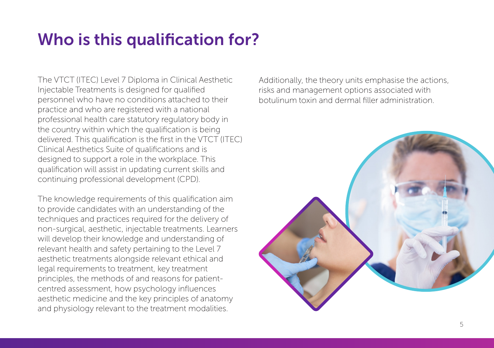# Who is this qualification for?

The VTCT (ITEC) Level 7 Diploma in Clinical Aesthetic Injectable Treatments is designed for qualified personnel who have no conditions attached to their practice and who are registered with a national professional health care statutory regulatory body in the country within which the qualification is being delivered. This qualification is the first in the VTCT (ITEC) Clinical Aesthetics Suite of qualifications and is designed to support a role in the workplace. This qualification will assist in updating current skills and continuing professional development (CPD).

The knowledge requirements of this qualification aim to provide candidates with an understanding of the techniques and practices required for the delivery of non-surgical, aesthetic, injectable treatments. Learners will develop their knowledge and understanding of relevant health and safety pertaining to the Level 7 aesthetic treatments alongside relevant ethical and legal requirements to treatment, key treatment principles, the methods of and reasons for patientcentred assessment, how psychology influences aesthetic medicine and the key principles of anatomy and physiology relevant to the treatment modalities.

Additionally, the theory units emphasise the actions, risks and management options associated with botulinum toxin and dermal filler administration.

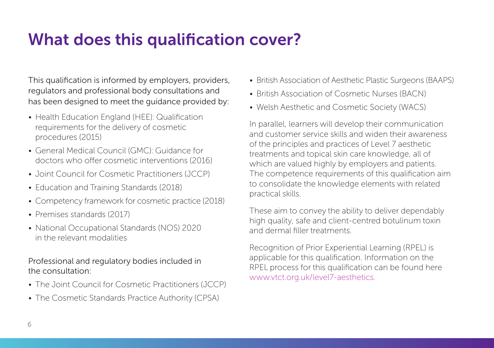## What does this qualification cover?

This qualification is informed by employers, providers, regulators and professional body consultations and has been designed to meet the guidance provided by:

- Health Education England (HEE): Qualification requirements for the delivery of cosmetic procedures (2015)
- General Medical Council (GMC): Guidance for doctors who offer cosmetic interventions (2016)
- Joint Council for Cosmetic Practitioners (JCCP)
- Education and Training Standards (2018)
- Competency framework for cosmetic practice (2018)
- Premises standards (2017)
- National Occupational Standards (NOS) 2020 in the relevant modalities

#### Professional and regulatory bodies included in the consultation:

- The Joint Council for Cosmetic Practitioners (JCCP)
- The Cosmetic Standards Practice Authority (CPSA)
- British Association of Aesthetic Plastic Surgeons (BAAPS)
- British Association of Cosmetic Nurses (BACN)
- Welsh Aesthetic and Cosmetic Society (WACS)

In parallel, learners will develop their communication and customer service skills and widen their awareness of the principles and practices of Level 7 aesthetic treatments and topical skin care knowledge, all of which are valued highly by employers and patients. The competence requirements of this qualification aim to consolidate the knowledge elements with related practical skills.

These aim to convey the ability to deliver dependably high quality, safe and client-centred botulinum toxin and dermal filler treatments.

Recognition of Prior Experiential Learning (RPEL) is applicable for this qualification. Information on the RPEL process for this qualification can be found here www.vtct.org.uk/level7-aesthetics.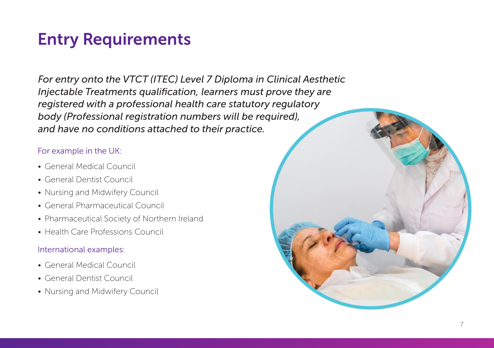# Entry Requirements

*For entry onto the VTCT (ITEC) Level 7 Diploma in Clinical Aesthetic Injectable Treatments qualification, learners must prove they are registered with a professional health care statutory regulatory body (Professional registration numbers will be required), and have no conditions attached to their practice.*

### For example in the UK:

- General Medical Council
- General Dentist Council
- Nursing and Midwifery Council
- General Pharmaceutical Council
- Pharmaceutical Society of Northern Ireland
- Health Care Professions Council

#### International examples:

- General Medical Council
- General Dentist Council
- Nursing and Midwifery Council

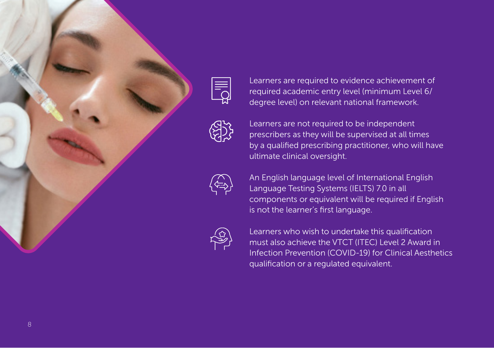



Learners are required to evidence achievement of required academic entry level (minimum Level 6/ degree level) on relevant national framework.

Learners are not required to be independent prescribers as they will be supervised at all times by a qualified prescribing practitioner, who will have ultimate clinical oversight.

An English language level of International English Language Testing Systems (IELTS) 7.0 in all components or equivalent will be required if English is not the learner's first language.

Learners who wish to undertake this qualification must also achieve the VTCT (ITEC) Level 2 Award in Infection Prevention (COVID-19) for Clinical Aesthetics qualification or a regulated equivalent.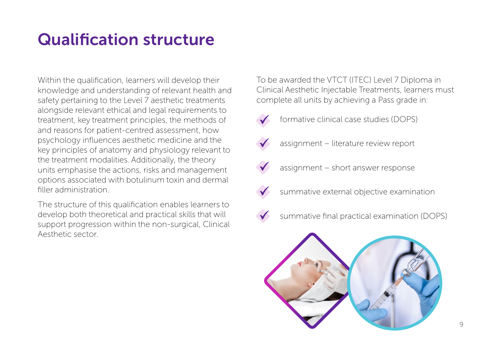# Qualification structure

Within the qualification, learners will develop their knowledge and understanding of relevant health and safety pertaining to the Level 7 aesthetic treatments alongside relevant ethical and legal requirements to treatment, key treatment principles, the methods of and reasons for patient-centred assessment, how psychology influences aesthetic medicine and the key principles of anatomy and physiology relevant to the treatment modalities. Additionally, the theory units emphasise the actions, risks and management options associated with botulinum toxin and dermal filler administration.

The structure of this qualification enables learners to develop both theoretical and practical skills that will support progression within the non-surgical, Clinical Aesthetic sector.

To be awarded the VTCT (ITEC) Level 7 Diploma in Clinical Aesthetic Injectable Treatments, learners must complete all units by achieving a Pass grade in:

- 
- formative clinical case studies (DOPS)
- assignment literature review report
- assignment short answer response
- summative external objective examination
- 
- summative final practical examination (DOPS)

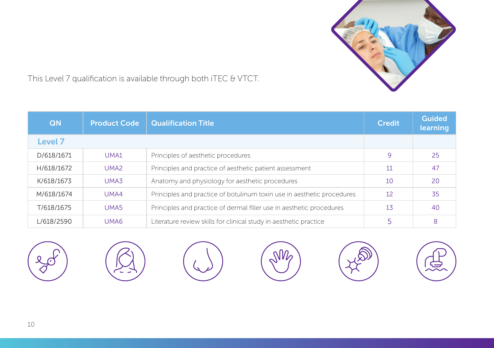

This Level 7 qualification is available through both iTEC & VTCT.

| QN         | <b>Product Code</b> | <b>Qualification Title</b>                                             | Credit | <b>Guided</b><br>learning |
|------------|---------------------|------------------------------------------------------------------------|--------|---------------------------|
| Level 7    |                     |                                                                        |        |                           |
| D/618/1671 | UMA1                | Principles of aesthetic procedures                                     | 9      | 25                        |
| H/618/1672 | UMA <sub>2</sub>    | Principles and practice of aesthetic patient assessment                | 11     | 47                        |
| K/618/1673 | UMA3                | Anatomy and physiology for aesthetic procedures                        | 10     | 20                        |
| M/618/1674 | UMA4                | Principles and practice of botulinum toxin use in aesthetic procedures | 12     | 35                        |
| T/618/1675 | UMA <sub>5</sub>    | Principles and practice of dermal filler use in aesthetic procedures   | 13     | 40                        |
| L/618/2590 | UMA6                | Literature review skills for clinical study in aesthetic practice      |        | 8                         |

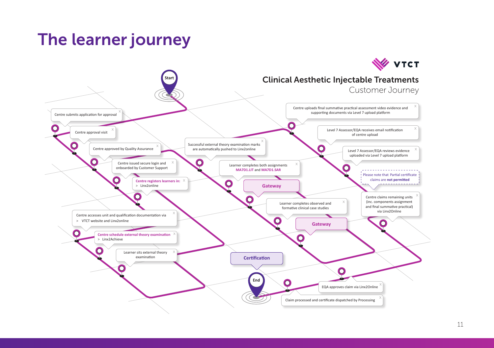## The learner journey